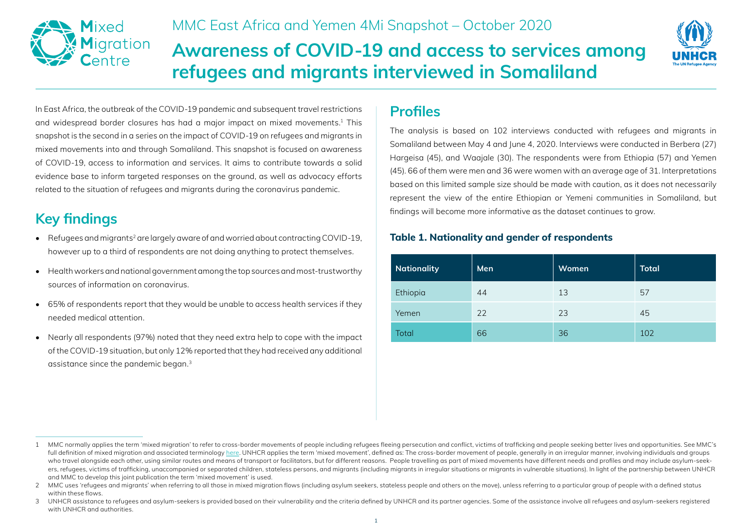

MMC East Africa and Yemen 4Mi Snapshot – October 2020

# **Awareness of COVID-19 and access to services among refugees and migrants interviewed in Somaliland**



In East Africa, the outbreak of the COVID-19 pandemic and subsequent travel restrictions and widespread border closures has had a major impact on mixed movements.1 This snapshot is the second in a series on the impact of COVID-19 on refugees and migrants in mixed movements into and through Somaliland. This snapshot is focused on awareness of COVID-19, access to information and services. It aims to contribute towards a solid evidence base to inform targeted responses on the ground, as well as advocacy efforts related to the situation of refugees and migrants during the coronavirus pandemic.

# **Key findings**

- Refugees and migrants<sup>2</sup> are largely aware of and worried about contracting COVID-19, however up to a third of respondents are not doing anything to protect themselves.
- Health workers and national government among the top sources and most-trustworthy sources of information on coronavirus.
- 65% of respondents report that they would be unable to access health services if they needed medical attention.
- Nearly all respondents (97%) noted that they need extra help to cope with the impact of the COVID-19 situation, but only 12% reported that they had received any additional assistance since the pandemic began.3

## **Profiles**

The analysis is based on 102 interviews conducted with refugees and migrants in Somaliland between May 4 and June 4, 2020. Interviews were conducted in Berbera (27) Hargeisa (45), and Waajale (30). The respondents were from Ethiopia (57) and Yemen (45). 66 of them were men and 36 were women with an average age of 31. Interpretations based on this limited sample size should be made with caution, as it does not necessarily represent the view of the entire Ethiopian or Yemeni communities in Somaliland, but findings will become more informative as the dataset continues to grow.

#### **Table 1. Nationality and gender of respondents**

| <b>Nationality</b> | Men | Women | <b>Total</b> |
|--------------------|-----|-------|--------------|
| Ethiopia           | 44  | 13    | 57           |
| Yemen              | 22  | 23    | 45           |
| Total              | 66  | 36    | 102          |

<sup>1</sup> MMC normally applies the term 'mixed migration' to refer to cross-border movements of people including refugees fleeing persecution and conflict, victims of trafficking and people seeking better lives and opportunities. full definition of mixed migration and associated terminology [here](https://eur03.safelinks.protection.outlook.com/?url=http%3A%2F%2Fwww.mixedmigration.org%2Fwp-content%2Fuploads%2F2020%2F07%2Fterminology_MMC-en-fr.pdf&data=02%7C01%7Colivia.akumu%40mixedmigration.org%7C65e2852df97c40fc8fdb08d853edf818%7C2a212241899c4752bd3351eac3c582d5%7C0%7C0%7C637351629971263446&sdata=yYq2d%2BIQPkZRNs2DSd7WVa9n%2FxqMYvD1IXCpCc3X9aE%3D&reserved=0). UNHCR applies the term 'mixed movement', defined as: The cross-border movement of people, generally in an irregular manner, involving individuals and grou who travel alongside each other, using similar routes and means of transport or facilitators, but for different reasons. People travelling as part of mixed movements have different needs and profiles and may include asylum ers, refugees, victims of trafficking, unaccompanied or separated children, stateless persons, and migrants (including migrants in irregular situations or migrants in vulnerable situations). In light of the partnership bet and MMC to develop this joint publication the term 'mixed movement' is used.

<sup>2</sup> MMC uses 'refugees and migrants' when referring to all those in mixed migration flows (including asylum seekers, stateless people and others on the move), unless referring to a particular group of people with a defined s within these flows.

<sup>3</sup> UNHCR assistance to refugees and asylum-seekers is provided based on their vulnerability and the criteria defined by UNHCR and its partner agencies. Some of the assistance involve all refugees and asylum-seekers register with UNHCR and authorities.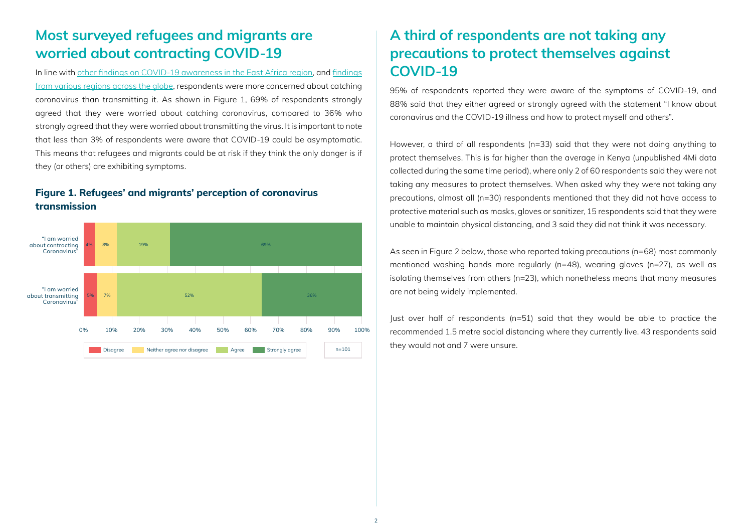## **Most surveyed refugees and migrants are worried about contracting COVID-19**

In line with other [findings](http://www.mixedmigration.org/wp-content/uploads/2020/05/105_covid_snapshot_EAY.pdf) on COVID-19 awareness in the East Africa region, and [findings](http://www.mixedmigration.org/wp-content/uploads/2020/06/111_Covid_Snapshot_Global_4.pdf) [from various regions across the globe,](http://www.mixedmigration.org/wp-content/uploads/2020/06/111_Covid_Snapshot_Global_4.pdf) respondents were more concerned about catching coronavirus than transmitting it. As shown in Figure 1, 69% of respondents strongly agreed that they were worried about catching coronavirus, compared to 36% who strongly agreed that they were worried about transmitting the virus. It is important to note that less than 3% of respondents were aware that COVID-19 could be asymptomatic. This means that refugees and migrants could be at risk if they think the only danger is if they (or others) are exhibiting symptoms.

#### **Figure 1. Refugees' and migrants' perception of coronavirus transmission**



## **A third of respondents are not taking any precautions to protect themselves against COVID-19**

95% of respondents reported they were aware of the symptoms of COVID-19, and 88% said that they either agreed or strongly agreed with the statement "I know about coronavirus and the COVID-19 illness and how to protect myself and others".

However, a third of all respondents (n=33) said that they were not doing anything to protect themselves. This is far higher than the average in Kenya (unpublished 4Mi data collected during the same time period), where only 2 of 60 respondents said they were not taking any measures to protect themselves. When asked why they were not taking any precautions, almost all (n=30) respondents mentioned that they did not have access to protective material such as masks, gloves or sanitizer, 15 respondents said that they were unable to maintain physical distancing, and 3 said they did not think it was necessary.

As seen in Figure 2 below, those who reported taking precautions (n=68) most commonly mentioned washing hands more regularly (n=48), wearing gloves (n=27), as well as isolating themselves from others (n=23), which nonetheless means that many measures are not being widely implemented.

Just over half of respondents (n=51) said that they would be able to practice the recommended 1.5 metre social distancing where they currently live. 43 respondents said they would not and 7 were unsure.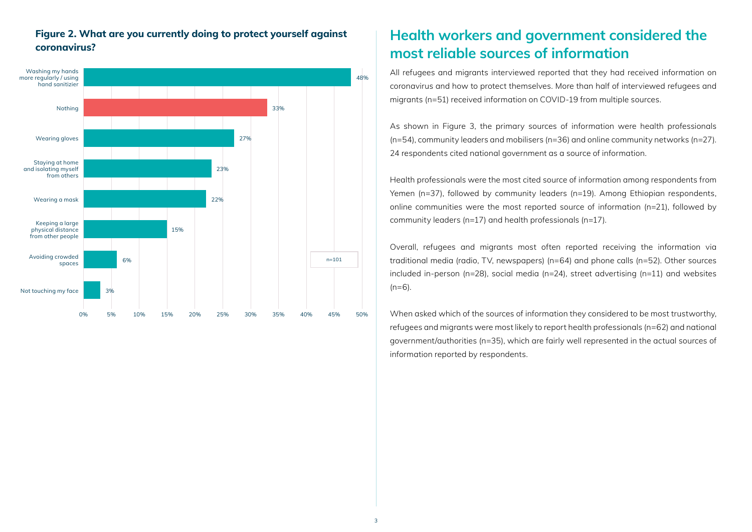#### **Figure 2. What are you currently doing to protect yourself against coronavirus?**



## **Health workers and government considered the most reliable sources of information**

All refugees and migrants interviewed reported that they had received information on coronavirus and how to protect themselves. More than half of interviewed refugees and migrants (n=51) received information on COVID-19 from multiple sources.

As shown in Figure 3, the primary sources of information were health professionals (n=54), community leaders and mobilisers (n=36) and online community networks (n=27). 24 respondents cited national government as a source of information.

Health professionals were the most cited source of information among respondents from Yemen (n=37), followed by community leaders (n=19). Among Ethiopian respondents, online communities were the most reported source of information (n=21), followed by community leaders (n=17) and health professionals (n=17).

Overall, refugees and migrants most often reported receiving the information via traditional media (radio, TV, newspapers) (n=64) and phone calls (n=52). Other sources included in-person (n=28), social media (n=24), street advertising (n=11) and websites  $(n=6)$ .

When asked which of the sources of information they considered to be most trustworthy, refugees and migrants were most likely to report health professionals (n=62) and national government/authorities (n=35), which are fairly well represented in the actual sources of information reported by respondents.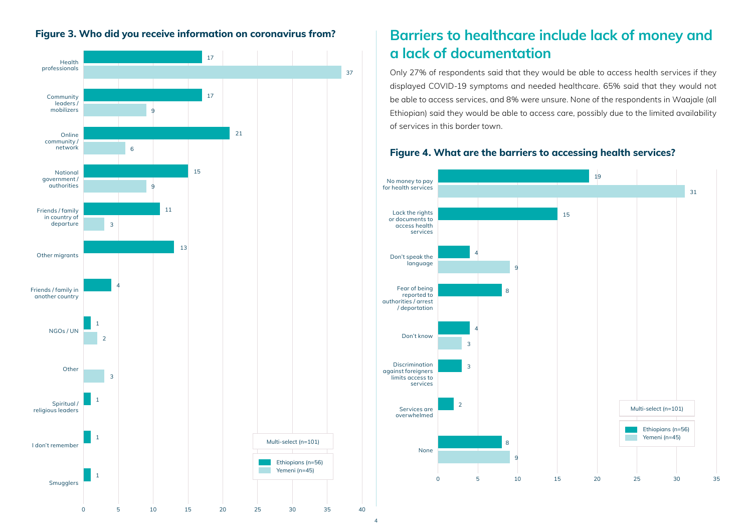



## **Figure 3. Who did you receive information on coronavirus from? Barriers to healthcare include lack of money and a lack of documentation**

Only 27% of respondents said that they would be able to access health services if they displayed COVID-19 symptoms and needed healthcare. 65% said that they would not be able to access services, and 8% were unsure. None of the respondents in Waajale (all Ethiopian) said they would be able to access care, possibly due to the limited availability of services in this border town.

#### **Figure 4. What are the barriers to accessing health services?**

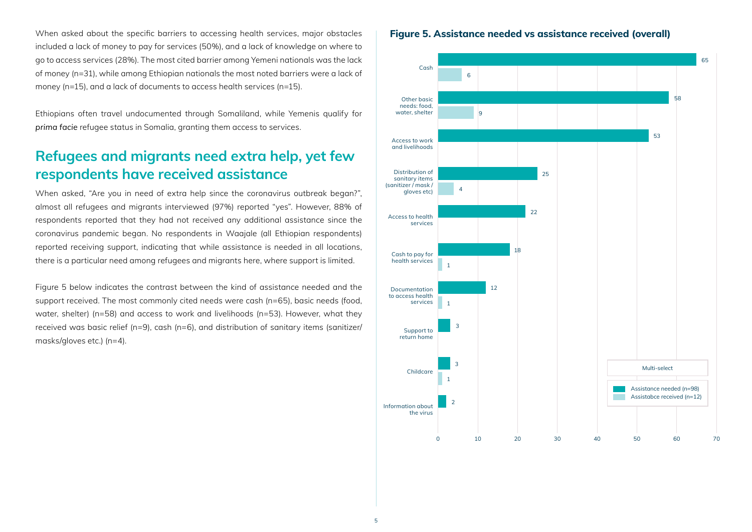When asked about the specific barriers to accessing health services, major obstacles included a lack of money to pay for services (50%), and a lack of knowledge on where to go to access services (28%). The most cited barrier among Yemeni nationals was the lack of money (n=31), while among Ethiopian nationals the most noted barriers were a lack of money (n=15), and a lack of documents to access health services (n=15).

Ethiopians often travel undocumented through Somaliland, while Yemenis qualify for *prima facie* refugee status in Somalia, granting them access to services.

#### **Refugees and migrants need extra help, yet few respondents have received assistance**

When asked, "Are you in need of extra help since the coronavirus outbreak began?", almost all refugees and migrants interviewed (97%) reported "yes". However, 88% of respondents reported that they had not received any additional assistance since the coronavirus pandemic began. No respondents in Waajale (all Ethiopian respondents) reported receiving support, indicating that while assistance is needed in all locations, there is a particular need among refugees and migrants here, where support is limited.

Figure 5 below indicates the contrast between the kind of assistance needed and the support received. The most commonly cited needs were cash (n=65), basic needs (food, water, shelter) (n=58) and access to work and livelihoods (n=53). However, what they received was basic relief (n=9), cash (n=6), and distribution of sanitary items (sanitizer/ masks/gloves etc.) (n=4).

**Figure 5. Assistance needed vs assistance received (overall)**

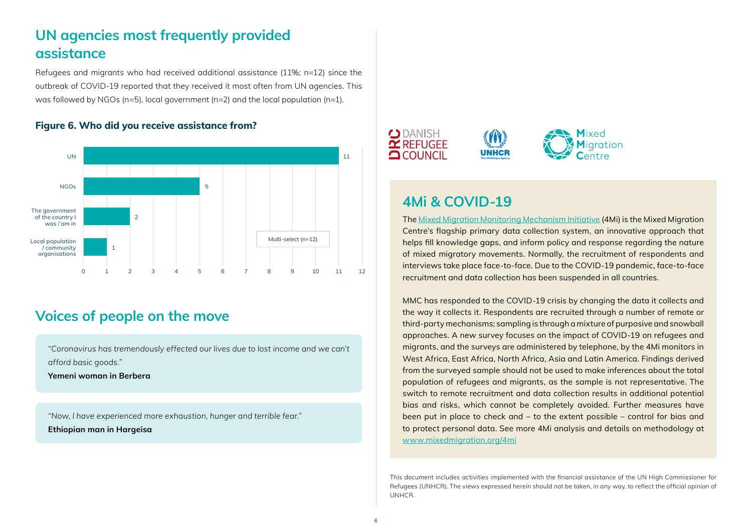## **UN agencies most frequently provided assistance**

Refugees and migrants who had received additional assistance (11%; n=12) since the outbreak of COVID-19 reported that they received it most often from UN agencies. This was followed by NGOs (n=5), local government (n=2) and the local population (n=1).

#### **Figure 6. Who did you receive assistance from?**



#### **Voices of people on the move**

*"Coronavirus has tremendously effected our lives due to lost income and we can't afford basic goods."*

**Yemeni woman in Berbera**

*"Now, l have experienced more exhaustion, hunger and terrible fear."* **Ethiopian man in Hargeisa**



### **4Mi & COVID-19**

The [Mixed Migration Monitoring Mechanism Initiative](http://www.mixedmigration.org/4mi/) (4Mi) is the Mixed Migration Centre's flagship primary data collection system, an innovative approach that helps fill knowledge gaps, and inform policy and response regarding the nature of mixed migratory movements. Normally, the recruitment of respondents and interviews take place face-to-face. Due to the COVID-19 pandemic, face-to-face recruitment and data collection has been suspended in all countries.

MMC has responded to the COVID-19 crisis by changing the data it collects and the way it collects it. Respondents are recruited through a number of remote or third-party mechanisms; sampling is through a mixture of purposive and snowball approaches. A new survey focuses on the impact of COVID-19 on refugees and migrants, and the surveys are administered by telephone, by the 4Mi monitors in West Africa, East Africa, North Africa, Asia and Latin America. Findings derived from the surveyed sample should not be used to make inferences about the total population of refugees and migrants, as the sample is not representative. The switch to remote recruitment and data collection results in additional potential bias and risks, which cannot be completely avoided. Further measures have been put in place to check and – to the extent possible – control for bias and to protect personal data. See more 4Mi analysis and details on methodology at [www.mixedmigration.org/4mi](http://www.mixedmigration.org/4mi)

This document includes activities implemented with the financial assistance of the UN High Commissioner for Refugees (UNHCR). The views expressed herein should not be taken, in any way, to reflect the official opinion of UNHCR.